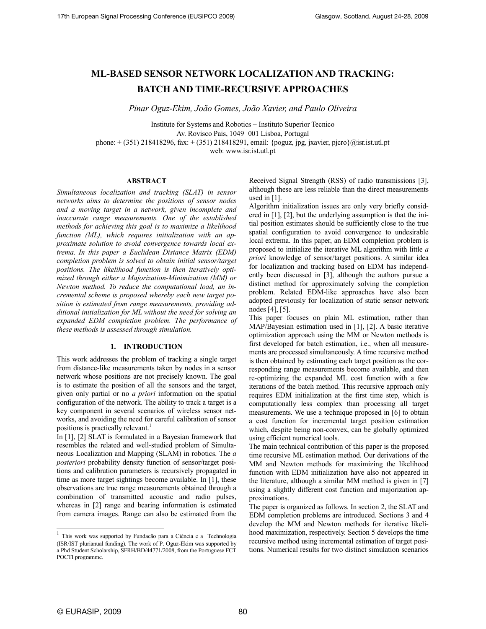# ML-BASED SENSOR NETWORK LOCALIZATION AND TRACKING: BATCH AND TIME-RECURSIVE APPROACHES

Pinar Oguz-Ekim, João Gomes, João Xavier, and Paulo Oliveira

Institute for Systems and Robotics − Instituto Superior Tecnico Av. Rovisco Pais, 1049−001 Lisboa, Portugal phone: + (351) 218418296, fax: + (351) 218418291, email: {poguz, jpg, jxavier, pjcro}@isr.ist.utl.pt web: www.isr.ist.utl.pt

#### ABSTRACT

Simultaneous localization and tracking (SLAT) in sensor networks aims to determine the positions of sensor nodes and a moving target in a network, given incomplete and inaccurate range measurements. One of the established methods for achieving this goal is to maximize a likelihood function (ML), which requires initialization with an approximate solution to avoid convergence towards local extrema. In this paper a Euclidean Distance Matrix (EDM) completion problem is solved to obtain initial sensor/target positions. The likelihood function is then iteratively optimized through either a Majorization-Minimization (MM) or Newton method. To reduce the computational load, an incremental scheme is proposed whereby each new target position is estimated from range measurements, providing additional initialization for ML without the need for solving an expanded EDM completion problem. The performance of these methods is assessed through simulation.

# 1. INTRODUCTION

This work addresses the problem of tracking a single target from distance-like measurements taken by nodes in a sensor network whose positions are not precisely known. The goal is to estimate the position of all the sensors and the target, given only partial or no a priori information on the spatial configuration of the network. The ability to track a target is a key component in several scenarios of wireless sensor networks, and avoiding the need for careful calibration of sensor positions is practically relevant.<sup>1</sup>

In [1], [2] SLAT is formulated in a Bayesian framework that resembles the related and well-studied problem of Simultaneous Localization and Mapping (SLAM) in robotics. The a posteriori probability density function of sensor/target positions and calibration parameters is recursively propagated in time as more target sightings become available. In [1], these observations are true range measurements obtained through a combination of transmitted acoustic and radio pulses, whereas in [2] range and bearing information is estimated from camera images. Range can also be estimated from the

Received Signal Strength (RSS) of radio transmissions [3], although these are less reliable than the direct measurements used in [1].

Algorithm initialization issues are only very briefly considered in [1], [2], but the underlying assumption is that the initial position estimates should be sufficiently close to the true spatial configuration to avoid convergence to undesirable local extrema. In this paper, an EDM completion problem is proposed to initialize the iterative ML algorithm with little  $a$ priori knowledge of sensor/target positions. A similar idea for localization and tracking based on EDM has independently been discussed in [3], although the authors pursue a distinct method for approximately solving the completion problem. Related EDM-like approaches have also been adopted previously for localization of static sensor network nodes [4], [5].

This paper focuses on plain ML estimation, rather than MAP/Bayesian estimation used in [1], [2]. A basic iterative optimization approach using the MM or Newton methods is first developed for batch estimation, i.e., when all measurements are processed simultaneously. A time recursive method is then obtained by estimating each target position as the corresponding range measurements become available, and then re-optimizing the expanded ML cost function with a few iterations of the batch method. This recursive approach only requires EDM initialization at the first time step, which is computationally less complex than processing all target measurements. We use a technique proposed in [6] to obtain a cost function for incremental target position estimation which, despite being non-convex, can be globally optimized using efficient numerical tools.

The main technical contribution of this paper is the proposed time recursive ML estimation method. Our derivations of the MM and Newton methods for maximizing the likelihood function with EDM initialization have also not appeared in the literature, although a similar MM method is given in [7] using a slightly different cost function and majorization approximations.

The paper is organized as follows. In section 2, the SLAT and EDM completion problems are introduced. Sections 3 and 4 develop the MM and Newton methods for iterative likelihood maximization, respectively. Section 5 develops the time recursive method using incremental estimation of target positions. Numerical results for two distinct simulation scenarios

<u>.</u>

<sup>&</sup>lt;sup>1</sup> This work was supported by Fundacão para a Ciência e a Technologia (ISR/IST plurianual funding). The work of P. Oguz-Ekim was supported by a Phd Student Scholarship, SFRH/BD/44771/2008, from the Portuguese FCT POCTI programme.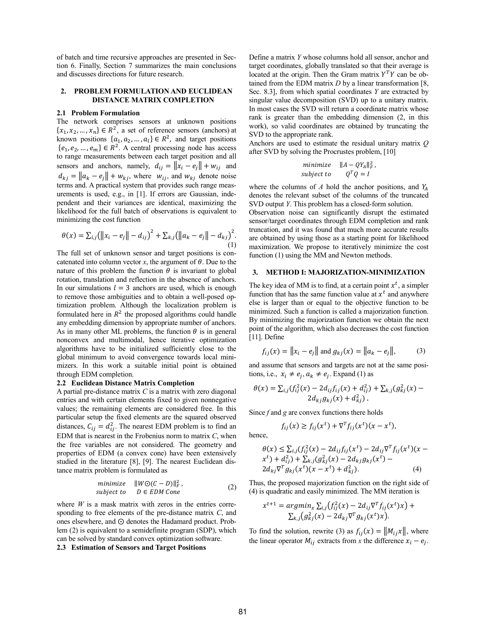of batch and time recursive approaches are presented in Section 6. Finally, Section 7 summarizes the main conclusions and discusses directions for future research.

# 2. PROBLEM FORMULATION AND EUCLIDEAN DISTANCE MATRIX COMPLETION

#### 2.1 Problem Formulation

The network comprises sensors at unknown positions  $\{x_1, x_2, ..., x_n\} \in R^2$ , a set of reference sensors (anchors) at known positions  $\{a_1, a_2, ..., a_l\} \in \mathbb{R}^2$ , and target positions  $\{e_1, e_2, ..., e_m\} \in R^2$ . A central processing node has access to range measurements between each target position and all sensors and anchors, namely,  $d_{ij} = ||x_i - e_j|| + w_{ij}$  and  $d_{kj} = ||a_k - e_j|| + w_{kj}$ , where  $w_{ij}$ , and  $w_{kj}$  denote noise terms and. A practical system that provides such range measurements is used, e.g., in [1]. If errors are Gaussian, independent and their variances are identical, maximizing the likelihood for the full batch of observations is equivalent to minimizing the cost function

$$
\theta(x) = \sum_{i,j} (||x_i - e_j|| - d_{ij})^2 + \sum_{k,j} (||a_k - e_j|| - d_{kj})^2.
$$
\n(1)

The full set of unknown sensor and target positions is concatenated into column vector x, the argument of  $\theta$ . Due to the nature of this problem the function  $\theta$  is invariant to global rotation, translation and reflection in the absence of anchors. In our simulations  $l = 3$  anchors are used, which is enough to remove those ambiguities and to obtain a well-posed optimization problem. Although the localization problem is formulated here in  $R^2$  the proposed algorithms could handle any embedding dimension by appropriate number of anchors. As in many other ML problems, the function  $\theta$  is in general nonconvex and multimodal, hence iterative optimization algorithms have to be initialized sufficiently close to the global minimum to avoid convergence towards local minimizers. In this work a suitable initial point is obtained through EDM completion.

#### 2.2 Euclidean Distance Matrix Completion

A partial pre-distance matrix  $C$  is a matrix with zero diagonal entries and with certain elements fixed to given nonnegative values; the remaining elements are considered free. In this particular setup the fixed elements are the squared observed distances,  $C_{ij} = d_{ij}^2$ . The nearest EDM problem is to find an EDM that is nearest in the Frobenius norm to matrix  $C$ , when the free variables are not considered. The geometry and properties of EDM (a convex cone) have been extensively studied in the literature [8], [9]. The nearest Euclidean distance matrix problem is formulated as

$$
\begin{array}{ll}\n\text{minimize} & \|W \odot (C - D)\|_F^2, \\
\text{subject to} & D \in EDM \text{ Cone}\n\end{array} \tag{2}
$$

where  $W$  is a mask matrix with zeros in the entries corresponding to free elements of the pre-distance matrix C, and ones elsewhere, and  $\odot$  denotes the Hadamard product. Problem (2) is equivalent to a semidefinite program (SDP), which can be solved by standard convex optimization software.

# 2.3 Estimation of Sensors and Target Positions

Define a matrix Y whose columns hold all sensor, anchor and target coordinates, globally translated so that their average is located at the origin. Then the Gram matrix  $Y^T Y$  can be obtained from the EDM matrix  $D$  by a linear transformation [8, Sec. 8.3], from which spatial coordinates  $Y$  are extracted by singular value decomposition (SVD) up to a unitary matrix. In most cases the SVD will return a coordinate matrix whose rank is greater than the embedding dimension (2, in this work), so valid coordinates are obtained by truncating the SVD to the appropriate rank.

Anchors are used to estimate the residual unitary matrix Q after SVD by solving the Procrustes problem, [10]

$$
\begin{aligned}\n\text{minimize} & \|A - QY_A\|_F^2, \\
\text{subject to} & Q^T Q = I\n\end{aligned}
$$

where the columns of A hold the anchor positions, and  $Y_A$ denotes the relevant subset of the columns of the truncated SVD output Y. This problem has a closed-form solution.

Observation noise can significantly disrupt the estimated sensor/target coordinates through EDM completion and rank truncation, and it was found that much more accurate results are obtained by using those as a starting point for likelihood maximization. We propose to iteratively minimize the cost function (1) using the MM and Newton methods.

## 3. METHOD I: MAJORIZATION-MINIMIZATION

The key idea of MM is to find, at a certain point  $x^t$ , a simpler function that has the same function value at  $x^t$  and anywhere else is larger than or equal to the objective function to be minimized. Such a function is called a majorization function. By minimizing the majorization function we obtain the next point of the algorithm, which also decreases the cost function [11]. Define

$$
f_{ij}(x) = ||x_i - e_j|| \text{ and } g_{kj}(x) = ||a_k - e_j||,
$$
 (3)

and assume that sensors and targets are not at the same positions, i.e.,  $x_i \neq e_j$ ,  $a_k \neq e_j$ . Expand (1) as

$$
\theta(x) = \sum_{i,j} (f_{ij}^2(x) - 2d_{ij}f_{ij}(x) + d_{ij}^2) + \sum_{k,j} (g_{kj}^2(x) - 2d_{kj}g_{kj}(x) + d_{kj}^2).
$$

Since  $f$  and  $g$  are convex functions there holds

$$
f_{ij}(x) \ge f_{ij}(x^t) + \nabla^T f_{ij}(x^t)(x - x^t),
$$

hence,

$$
\theta(x) \le \sum_{i,j} (f_{ij}^2(x) - 2d_{ij}f_{ij}(x^t) - 2d_{ij}\nabla^T f_{ij}(x^t)(x - x^t) + d_{ij}^2) + \sum_{k,j} (g_{kj}^2(x) - 2d_{kj}g_{kj}(x^t) - 2d_{kj}\nabla^T g_{kj}(x^t)(x - x^t) + d_{kj}^2). \tag{4}
$$

Thus, the proposed majorization function on the right side of (4) is quadratic and easily minimized. The MM iteration is

$$
x^{t+1} = argmin_{x} \sum_{i,j} (f_{ij}^{2}(x) - 2d_{ij} \nabla^{T} f_{ij}(x^{t}) x) +
$$
  
 
$$
\sum_{k,j} (g_{kj}^{2}(x) - 2d_{kj} \nabla^{T} g_{kj}(x^{t}) x).
$$

To find the solution, rewrite (3) as  $f_{ij}(x) = ||M_{ij}x||$ , where the linear operator  $M_{ij}$  extracts from x the difference  $x_i - e_j$ .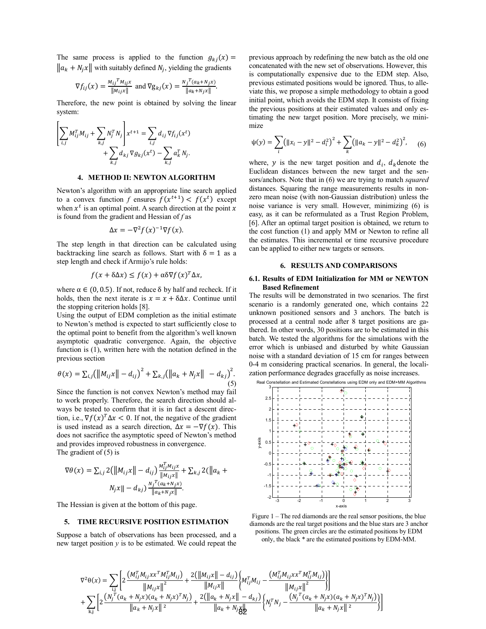The same process is applied to the function  $g_{kj}(x) =$  $\|a_k + N_j x\|$  with suitably defined  $N_j$ , yielding the gradients

$$
\nabla f_{ij}(x) = \frac{M_{ij}^T M_{ij} x}{\|M_{ij} x\|} \text{ and } \nabla g_{kj}(x) = \frac{N_j^T (a_k + N_j x)}{\|a_k + N_j x\|}.
$$

Therefore, the new point is obtained by solving the linear system:

$$
\left[\sum_{i,j} M_{ij}^T M_{ij} + \sum_{k,j} N_j^T N_j \right] x^{t+1} = \sum_{i,j} d_{ij} \nabla f_{ij}(x^t) + \sum_{k,j} d_{kj} \nabla g_{kj}(x^t) - \sum_{k,j} a_{ik}^T N_j.
$$

#### 4. METHOD II: NEWTON ALGORITHM

Newton's algorithm with an appropriate line search applied to a convex function f ensures  $f(x^{t+1}) < f(x^t)$  except when  $x^t$  is an optimal point. A search direction at the point x is found from the gradient and Hessian of  $f$  as

$$
\Delta x = -\nabla^2 f(x)^{-1} \nabla f(x).
$$

The step length in that direction can be calculated using backtracking line search as follows. Start with  $\delta = 1$  as a step length and check if Armijo's rule holds:

$$
f(x + \delta \Delta x) \le f(x) + \alpha \delta \nabla f(x)^T \Delta x,
$$

where  $\alpha \in (0, 0.5)$ . If not, reduce  $\delta$  by half and recheck. If it holds, then the next iterate is  $x = x + \delta \Delta x$ . Continue until the stopping criterion holds [8].

Using the output of EDM completion as the initial estimate to Newton's method is expected to start sufficiently close to the optimal point to benefit from the algorithm's well known asymptotic quadratic convergence. Again, the objective function is (1), written here with the notation defined in the previous section

$$
\theta(x) = \sum_{i,j} (||M_{ij}x|| - d_{ij})^2 + \sum_{k,j} (||a_k + N_jx|| - d_{kj})^2.
$$
\n(5)

Since the function is not convex Newton's method may fail to work properly. Therefore, the search direction should always be tested to confirm that it is in fact a descent direction, i.e.,  $\nabla f(x)^T \Delta x < 0$ . If not, the negative of the gradient is used instead as a search direction,  $\Delta x = -\nabla f(x)$ . This does not sacrifice the asymptotic speed of Newton's method and provides improved robustness in convergence. The gradient of (5) is

$$
\nabla \theta(x) = \sum_{i,j} 2(||M_{ij}x|| - d_{ij}) \frac{M_{ij}^T M_{ij} x}{||M_{ij}x||} + \sum_{k,j} 2(||a_k + N_{j}x|| - d_{kj}) \frac{N_j^T (a_k + N_{j}x)}{||a_k + N_{j}x||}.
$$

The Hessian is given at the bottom of this page.

#### 5. TIME RECURSIVE POSITION ESTIMATION

Suppose a batch of observations has been processed, and a new target position  $\nu$  is to be estimated. We could repeat the

previous approach by redefining the new batch as the old one concatenated with the new set of observations. However, this is computationally expensive due to the EDM step. Also, previous estimated positions would be ignored. Thus, to alleviate this, we propose a simple methodology to obtain a good initial point, which avoids the EDM step. It consists of fixing the previous positions at their estimated values and only estimating the new target position. More precisely, we minimize

$$
\psi(y) = \sum_{i} \left( ||x_i - y||^2 - d_i^2 \right)^2 + \sum_{k} \left( ||a_k - y||^2 - d_k^2 \right)^2, \quad (6)
$$

where, y is the new target position and  $d_i$ ,  $d_k$  denote the Euclidean distances between the new target and the sensors/anchors. Note that in (6) we are trying to match *squared* distances. Squaring the range measurements results in nonzero mean noise (with non-Gaussian distribution) unless the noise variance is very small. However, minimizing (6) is easy, as it can be reformulated as a Trust Region Problem, [6]. After an optimal target position is obtained, we return to the cost function (1) and apply MM or Newton to refine all the estimates. This incremental or time recursive procedure can be applied to either new targets or sensors.

## 6. RESULTS AND COMPARISONS

#### 6.1. Results of EDM Initialization for MM or NEWTON Based Refinement

The results will be demonstrated in two scenarios. The first scenario is a randomly generated one, which contains 22 unknown positioned sensors and 3 anchors. The batch is processed at a central node after 8 target positions are gathered. In other words, 30 positions are to be estimated in this batch. We tested the algorithms for the simulations with the error which is unbiased and disturbed by white Gaussian noise with a standard deviation of 15 cm for ranges between 0-4 m considering practical scenarios. In general, the localization performance degrades gracefully as noise increases.



Figure 1 – The red diamonds are the real sensor positions, the blue diamonds are the real target positions and the blue stars are 3 anchor positions. The green circles are the estimated positions by EDM only, the black \* are the estimated positions by EDM-MM.

$$
\nabla^{2} \theta(x) = \sum_{i,j} \left[ 2 \frac{(M_{ij}^{T} M_{ij} x x^{T} M_{ij}^{T} M_{ij})}{\|M_{ij} x\|^{2}} + \frac{2 (\|M_{ij} x\| - d_{ij})}{\|M_{ij} x\|} \left\{ M_{ij}^{T} M_{ij} - \frac{(M_{ij}^{T} M_{ij} x x^{T} M_{ij}^{T} M_{ij})}{\|M_{ij} x\|^{2}} \right\} \right] + \sum_{k,j} \left[ 2 \frac{(N_{j}^{T} (a_{k} + N_{j} x)(a_{k} + N_{j} x)^{T} N_{j})}{\|a_{k} + N_{j} x\|^{2}} + \frac{2 (\|a_{k} + N_{j} x\| - d_{kj})}{\|a_{k} + N_{j} x\|^{2}} \left\{ N_{j}^{T} N_{j} - \frac{(N_{j}^{T} (a_{k} + N_{j} x)(a_{k} + N_{j} x)^{T} N_{j})}{\|a_{k} + N_{j} x\|^{2}} \right\} \right]
$$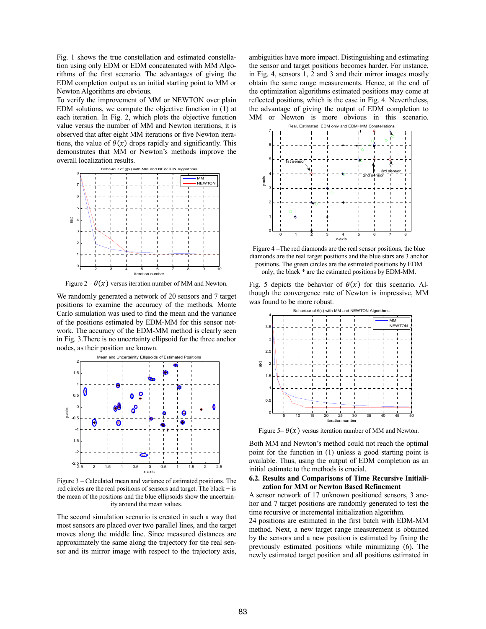Fig. 1 shows the true constellation and estimated constellation using only EDM or EDM concatenated with MM Algorithms of the first scenario. The advantages of giving the EDM completion output as an initial starting point to MM or Newton Algorithms are obvious.

To verify the improvement of MM or NEWTON over plain EDM solutions, we compute the objective function in (1) at each iteration. In Fig. 2, which plots the objective function value versus the number of MM and Newton iterations, it is observed that after eight MM iterations or five Newton iterations, the value of  $\theta(x)$  drops rapidly and significantly. This demonstrates that MM or Newton's methods improve the overall localization results.



Figure  $2 - \theta(x)$  versus iteration number of MM and Newton.

We randomly generated a network of 20 sensors and 7 target positions to examine the accuracy of the methods. Monte Carlo simulation was used to find the mean and the variance of the positions estimated by EDM-MM for this sensor network. The accuracy of the EDM-MM method is clearly seen in Fig. 3.There is no uncertainty ellipsoid for the three anchor nodes, as their position are known.



Figure 3 – Calculated mean and variance of estimated positions. The red circles are the real positions of sensors and target. The black + is the mean of the positions and the blue ellipsoids show the uncertainity around the mean values.

The second simulation scenario is created in such a way that most sensors are placed over two parallel lines, and the target moves along the middle line. Since measured distances are approximately the same along the trajectory for the real sensor and its mirror image with respect to the trajectory axis,

ambiguities have more impact. Distinguishing and estimating the sensor and target positions becomes harder. For instance, in Fig. 4, sensors 1, 2 and 3 and their mirror images mostly obtain the same range measurements. Hence, at the end of the optimization algorithms estimated positions may come at reflected positions, which is the case in Fig. 4. Nevertheless, the advantage of giving the output of EDM completion to MM or Newton is more obvious in this scenario.



Figure 4 –The red diamonds are the real sensor positions, the blue diamonds are the real target positions and the blue stars are 3 anchor positions. The green circles are the estimated positions by EDM only, the black \* are the estimated positions by EDM-MM.

Fig. 5 depicts the behavior of  $\theta(x)$  for this scenario. Although the convergence rate of Newton is impressive, MM was found to be more robust.



Figure 5–  $\theta(x)$  versus iteration number of MM and Newton.

Both MM and Newton's method could not reach the optimal point for the function in (1) unless a good starting point is available. Thus, using the output of EDM completion as an initial estimate to the methods is crucial.

#### 6.2. Results and Comparisons of Time Recursive Initialization for MM or Newton Based Refinement

A sensor network of 17 unknown positioned sensors, 3 anchor and 7 target positions are randomly generated to test the time recursive or incremental initialization algorithm.

24 positions are estimated in the first batch with EDM-MM method. Next, a new target range measurement is obtained by the sensors and a new position is estimated by fixing the previously estimated positions while minimizing (6). The newly estimated target position and all positions estimated in